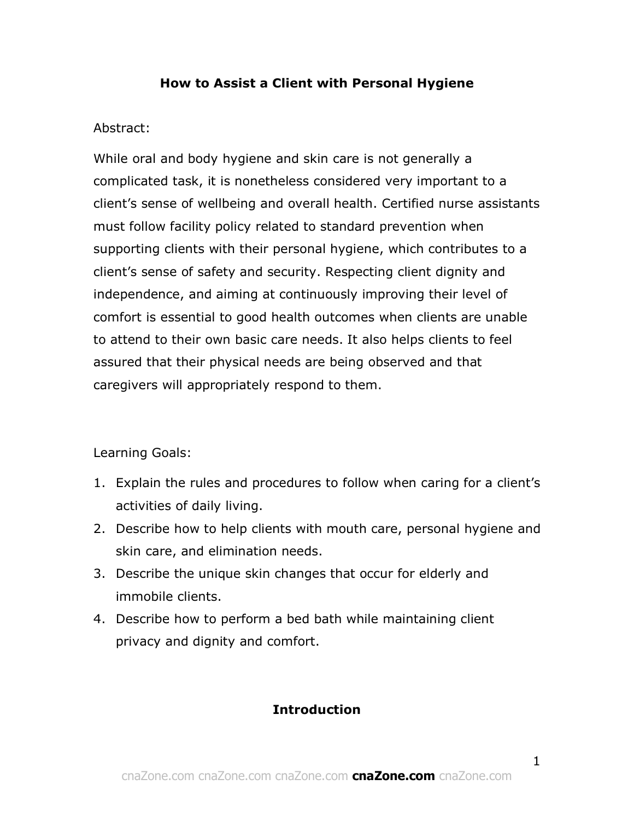### **How to Assist a Client with Personal Hygiene**

### Abstract:

While oral and body hygiene and skin care is not generally a complicated task, it is nonetheless considered very important to a client's sense of wellbeing and overall health. Certified nurse assistants must follow facility policy related to standard prevention when supporting clients with their personal hygiene, which contributes to a client's sense of safety and security. Respecting client dignity and independence, and aiming at continuously improving their level of comfort is essential to good health outcomes when clients are unable to attend to their own basic care needs. It also helps clients to feel assured that their physical needs are being observed and that caregivers will appropriately respond to them.

Learning Goals:

- 1. Explain the rules and procedures to follow when caring for a client's activities of daily living.
- 2. Describe how to help clients with mouth care, personal hygiene and skin care, and elimination needs.
- 3. Describe the unique skin changes that occur for elderly and immobile clients.
- 4. Describe how to perform a bed bath while maintaining client privacy and dignity and comfort.

# **Introduction**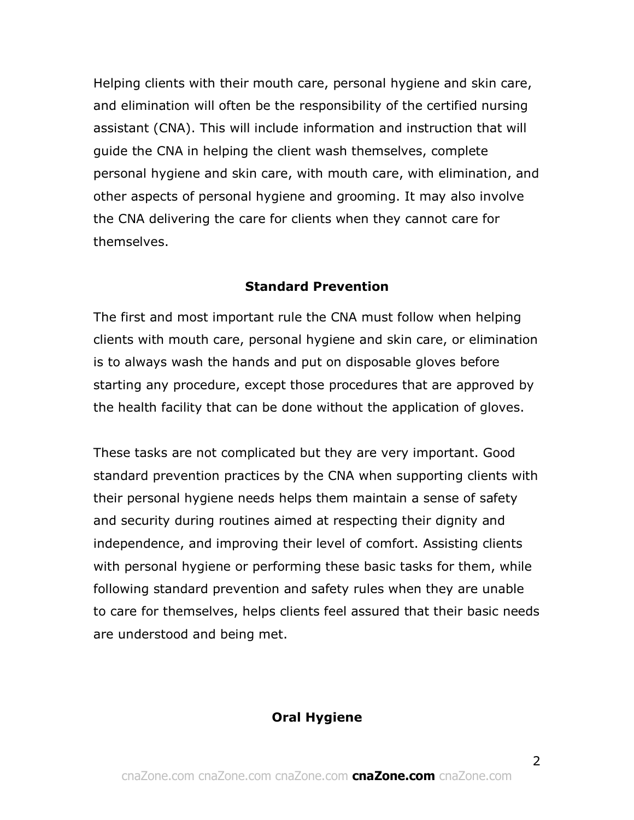Helping clients with their mouth care, personal hygiene and skin care, and elimination will often be the responsibility of the certified nursing assistant (CNA). This will include information and instruction that will guide the CNA in helping the client wash themselves, complete personal hygiene and skin care, with mouth care, with elimination, and other aspects of personal hygiene and grooming. It may also involve the CNA delivering the care for clients when they cannot care for themselves.

#### **Standard Prevention**

The first and most important rule the CNA must follow when helping clients with mouth care, personal hygiene and skin care, or elimination is to always wash the hands and put on disposable gloves before starting any procedure, except those procedures that are approved by the health facility that can be done without the application of gloves.

These tasks are not complicated but they are very important. Good standard prevention practices by the CNA when supporting clients with their personal hygiene needs helps them maintain a sense of safety and security during routines aimed at respecting their dignity and independence, and improving their level of comfort. Assisting clients with personal hygiene or performing these basic tasks for them, while following standard prevention and safety rules when they are unable to care for themselves, helps clients feel assured that their basic needs are understood and being met.

#### **Oral Hygiene**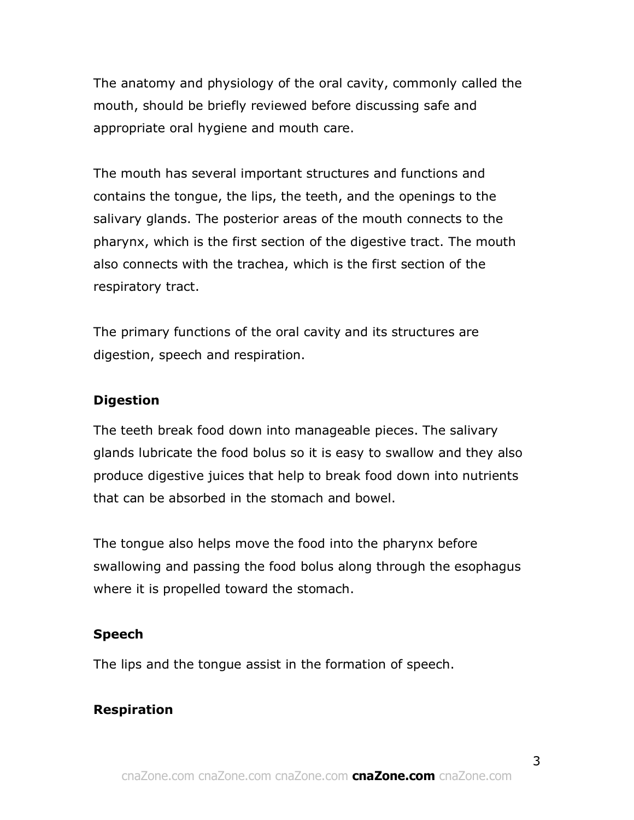The anatomy and physiology of the oral cavity, commonly called the mouth, should be briefly reviewed before discussing safe and appropriate oral hygiene and mouth care.

The mouth has several important structures and functions and contains the tongue, the lips, the teeth, and the openings to the salivary glands. The posterior areas of the mouth connects to the pharynx, which is the first section of the digestive tract. The mouth also connects with the trachea, which is the first section of the respiratory tract.

The primary functions of the oral cavity and its structures are digestion, speech and respiration.

### **Digestion**

The teeth break food down into manageable pieces. The salivary glands lubricate the food bolus so it is easy to swallow and they also produce digestive juices that help to break food down into nutrients that can be absorbed in the stomach and bowel.

The tongue also helps move the food into the pharynx before swallowing and passing the food bolus along through the esophagus where it is propelled toward the stomach.

# **Speech**

The lips and the tongue assist in the formation of speech.

# **Respiration**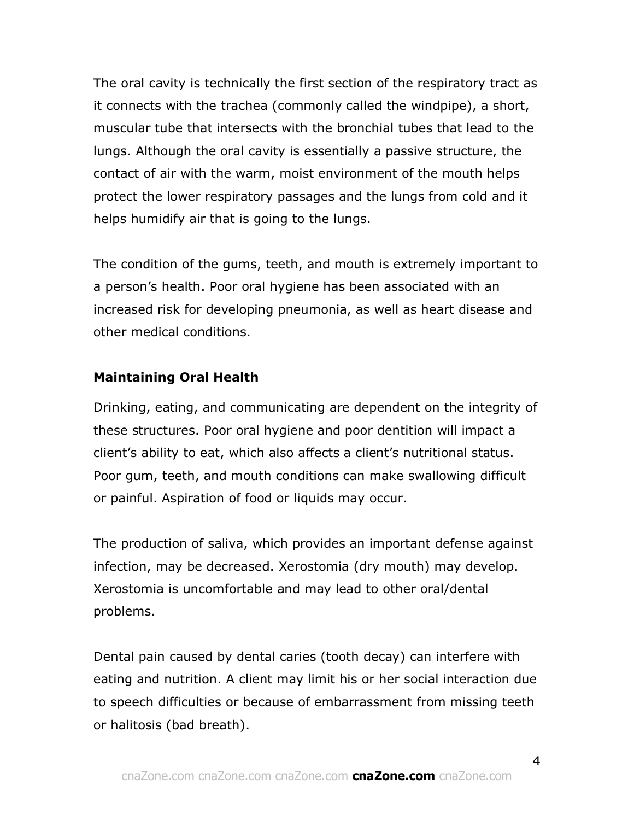The oral cavity is technically the first section of the respiratory tract as it connects with the trachea (commonly called the windpipe), a short, muscular tube that intersects with the bronchial tubes that lead to the lungs. Although the oral cavity is essentially a passive structure, the contact of air with the warm, moist environment of the mouth helps protect the lower respiratory passages and the lungs from cold and it helps humidify air that is going to the lungs.

The condition of the gums, teeth, and mouth is extremely important to a person's health. Poor oral hygiene has been associated with an increased risk for developing pneumonia, as well as heart disease and other medical conditions.

### **Maintaining Oral Health**

Drinking, eating, and communicating are dependent on the integrity of these structures. Poor oral hygiene and poor dentition will impact a client's ability to eat, which also affects a client's nutritional status. Poor gum, teeth, and mouth conditions can make swallowing difficult or painful. Aspiration of food or liquids may occur.

The production of saliva, which provides an important defense against infection, may be decreased. Xerostomia (dry mouth) may develop. Xerostomia is uncomfortable and may lead to other oral/dental problems.

Dental pain caused by dental caries (tooth decay) can interfere with eating and nutrition. A client may limit his or her social interaction due to speech difficulties or because of embarrassment from missing teeth or halitosis (bad breath).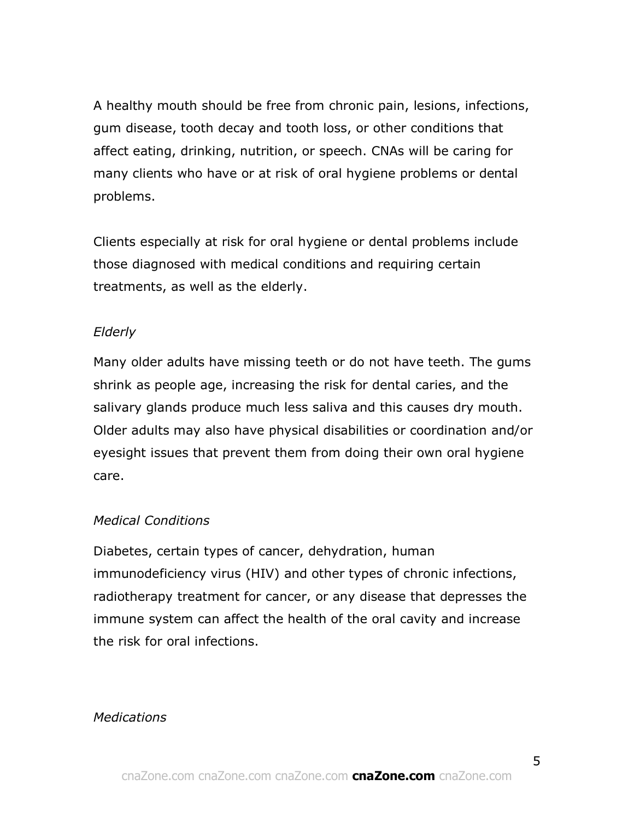A healthy mouth should be free from chronic pain, lesions, infections, gum disease, tooth decay and tooth loss, or other conditions that affect eating, drinking, nutrition, or speech. CNAs will be caring for many clients who have or at risk of oral hygiene problems or dental problems.

Clients especially at risk for oral hygiene or dental problems include those diagnosed with medical conditions and requiring certain treatments, as well as the elderly.

### *Elderly*

Many older adults have missing teeth or do not have teeth. The gums shrink as people age, increasing the risk for dental caries, and the salivary glands produce much less saliva and this causes dry mouth. Older adults may also have physical disabilities or coordination and/or eyesight issues that prevent them from doing their own oral hygiene care.

### *Medical Conditions*

Diabetes, certain types of cancer, dehydration, human immunodeficiency virus (HIV) and other types of chronic infections, radiotherapy treatment for cancer, or any disease that depresses the immune system can affect the health of the oral cavity and increase the risk for oral infections.

### *Medications*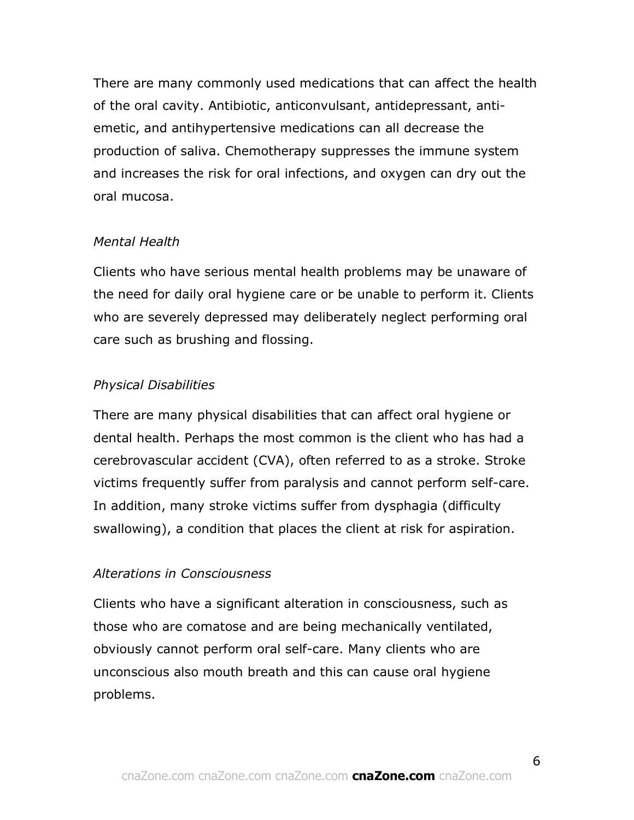There are many commonly used medications that can affect the health of the oral cavity. Antibiotic, anticonvulsant, antidepressant, antiemetic, and antihypertensive medications can all decrease the production of saliva. Chemotherapy suppresses the immune system and increases the risk for oral infections, and oxygen can dry out the oral mucosa.

### *Mental Health*

Clients who have serious mental health problems may be unaware of the need for daily oral hygiene care or be unable to perform it. Clients who are severely depressed may deliberately neglect performing oral care such as brushing and flossing.

# *Physical Disabilities*

There are many physical disabilities that can affect oral hygiene or dental health. Perhaps the most common is the client who has had a cerebrovascular accident (CVA), often referred to as a stroke. Stroke victims frequently suffer from paralysis and cannot perform self-care. In addition, many stroke victims suffer from dysphagia (difficulty swallowing), a condition that places the client at risk for aspiration.

# *Alterations in Consciousness*

Clients who have a significant alteration in consciousness, such as those who are comatose and are being mechanically ventilated, obviously cannot perform oral self-care. Many clients who are unconscious also mouth breath and this can cause oral hygiene problems.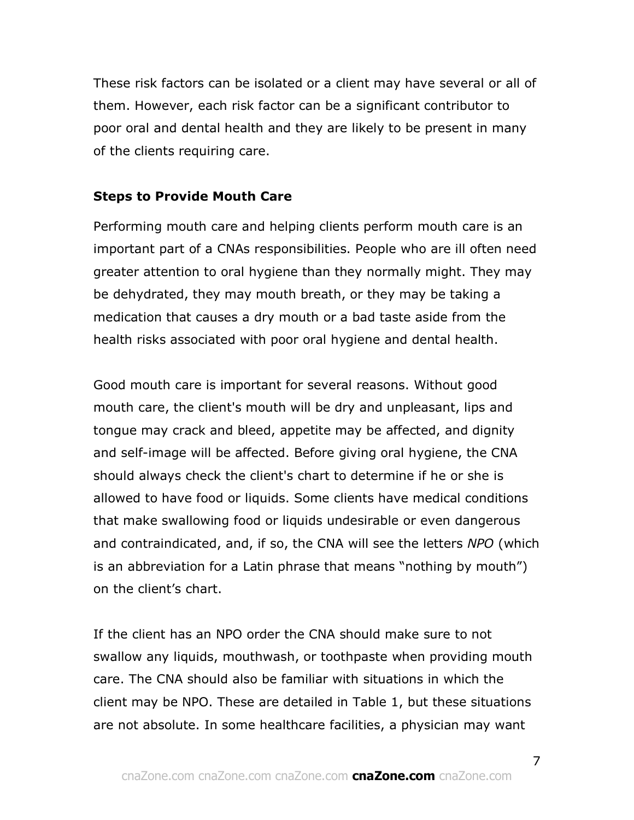These risk factors can be isolated or a client may have several or all of them. However, each risk factor can be a significant contributor to poor oral and dental health and they are likely to be present in many of the clients requiring care.

### **Steps to Provide Mouth Care**

Performing mouth care and helping clients perform mouth care is an important part of a CNAs responsibilities. People who are ill often need greater attention to oral hygiene than they normally might. They may be dehydrated, they may mouth breath, or they may be taking a medication that causes a dry mouth or a bad taste aside from the health risks associated with poor oral hygiene and dental health.

Good mouth care is important for several reasons. Without good mouth care, the client's mouth will be dry and unpleasant, lips and tongue may crack and bleed, appetite may be affected, and dignity and self-image will be affected. Before giving oral hygiene, the CNA should always check the client's chart to determine if he or she is allowed to have food or liquids. Some clients have medical conditions that make swallowing food or liquids undesirable or even dangerous and contraindicated, and, if so, the CNA will see the letters *NPO* (which is an abbreviation for a Latin phrase that means "nothing by mouth") on the client's chart.

If the client has an NPO order the CNA should make sure to not swallow any liquids, mouthwash, or toothpaste when providing mouth care. The CNA should also be familiar with situations in which the client may be NPO. These are detailed in Table 1, but these situations are not absolute. In some healthcare facilities, a physician may want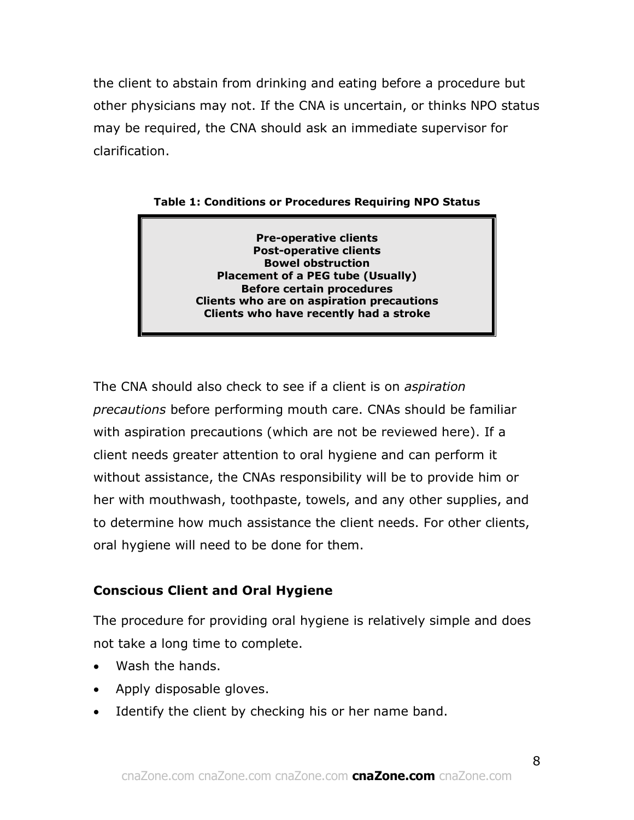the client to abstain from drinking and eating before a procedure but other physicians may not. If the CNA is uncertain, or thinks NPO status may be required, the CNA should ask an immediate supervisor for clarification.

**Table 1: Conditions or Procedures Requiring NPO Status**

**Pre-operative clients Post-operative clients Bowel obstruction Placement of a PEG tube (Usually) Before certain procedures Clients who are on aspiration precautions Clients who have recently had a stroke**

The CNA should also check to see if a client is on *aspiration precautions* before performing mouth care. CNAs should be familiar with aspiration precautions (which are not be reviewed here). If a client needs greater attention to oral hygiene and can perform it without assistance, the CNAs responsibility will be to provide him or her with mouthwash, toothpaste, towels, and any other supplies, and to determine how much assistance the client needs. For other clients, oral hygiene will need to be done for them.

# **Conscious Client and Oral Hygiene**

The procedure for providing oral hygiene is relatively simple and does not take a long time to complete.

- Wash the hands.
- Apply disposable gloves.
- Identify the client by checking his or her name band.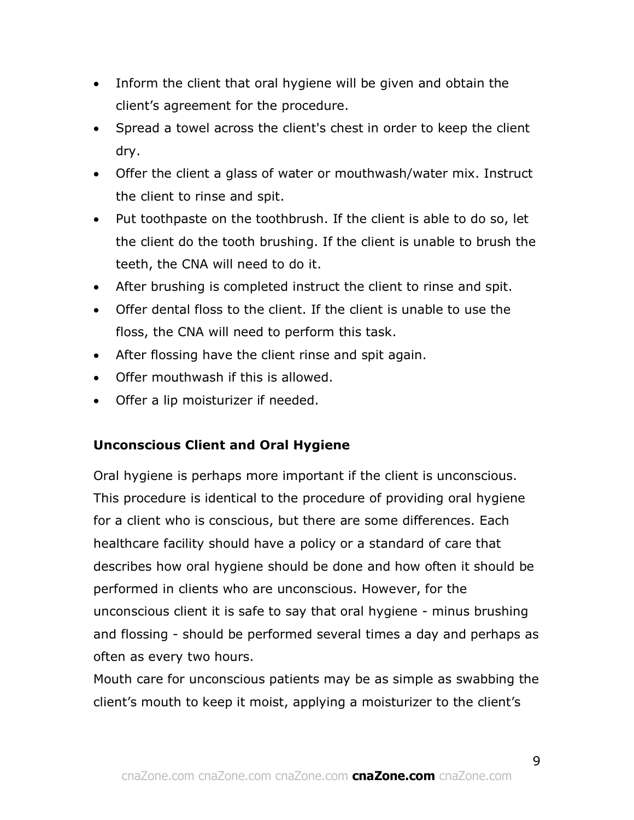- Inform the client that oral hygiene will be given and obtain the client's agreement for the procedure.
- Spread a towel across the client's chest in order to keep the client dry.
- Offer the client a glass of water or mouthwash/water mix. Instruct the client to rinse and spit.
- Put toothpaste on the toothbrush. If the client is able to do so, let the client do the tooth brushing. If the client is unable to brush the teeth, the CNA will need to do it.
- After brushing is completed instruct the client to rinse and spit.
- Offer dental floss to the client. If the client is unable to use the floss, the CNA will need to perform this task.
- After flossing have the client rinse and spit again.
- Offer mouthwash if this is allowed.
- Offer a lip moisturizer if needed.

# **Unconscious Client and Oral Hygiene**

Oral hygiene is perhaps more important if the client is unconscious. This procedure is identical to the procedure of providing oral hygiene for a client who is conscious, but there are some differences. Each healthcare facility should have a policy or a standard of care that describes how oral hygiene should be done and how often it should be performed in clients who are unconscious. However, for the unconscious client it is safe to say that oral hygiene - minus brushing and flossing - should be performed several times a day and perhaps as often as every two hours.

Mouth care for unconscious patients may be as simple as swabbing the client's mouth to keep it moist, applying a moisturizer to the client's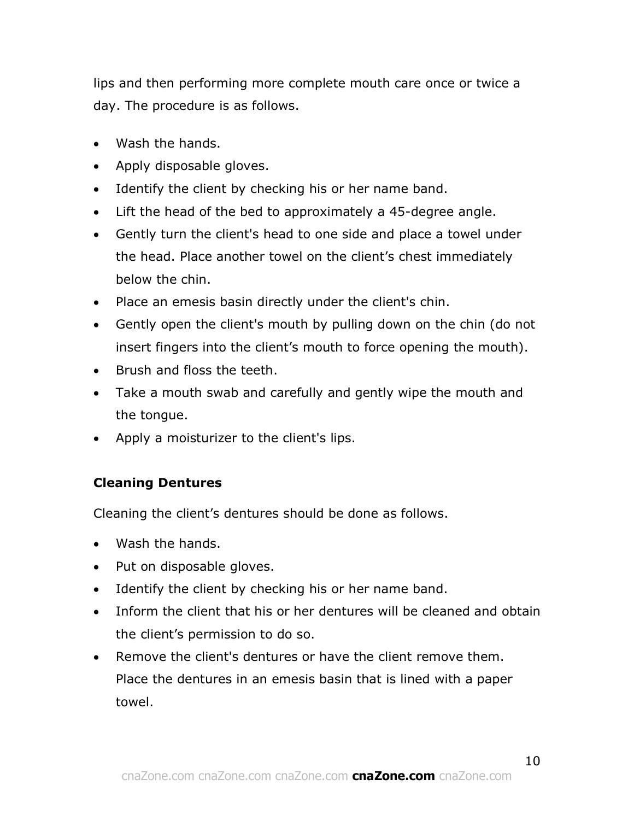lips and then performing more complete mouth care once or twice a day. The procedure is as follows.

- Wash the hands.
- Apply disposable gloves.
- Identify the client by checking his or her name band.
- Lift the head of the bed to approximately a 45-degree angle.
- Gently turn the client's head to one side and place a towel under the head. Place another towel on the client's chest immediately below the chin.
- Place an emesis basin directly under the client's chin.
- Gently open the client's mouth by pulling down on the chin (do not insert fingers into the client's mouth to force opening the mouth).
- Brush and floss the teeth.
- Take a mouth swab and carefully and gently wipe the mouth and the tongue.
- Apply a moisturizer to the client's lips.

# **Cleaning Dentures**

Cleaning the client's dentures should be done as follows.

- Wash the hands.
- Put on disposable gloves.
- Identify the client by checking his or her name band.
- Inform the client that his or her dentures will be cleaned and obtain the client's permission to do so.
- Remove the client's dentures or have the client remove them. Place the dentures in an emesis basin that is lined with a paper towel.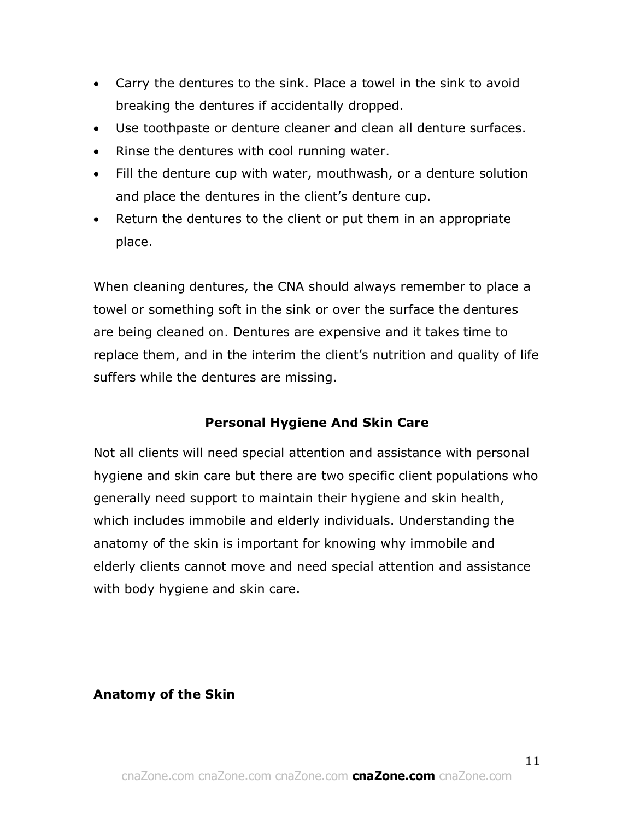- Carry the dentures to the sink. Place a towel in the sink to avoid breaking the dentures if accidentally dropped.
- Use toothpaste or denture cleaner and clean all denture surfaces.
- Rinse the dentures with cool running water.
- Fill the denture cup with water, mouthwash, or a denture solution and place the dentures in the client's denture cup.
- Return the dentures to the client or put them in an appropriate place.

When cleaning dentures, the CNA should always remember to place a towel or something soft in the sink or over the surface the dentures are being cleaned on. Dentures are expensive and it takes time to replace them, and in the interim the client's nutrition and quality of life suffers while the dentures are missing.

# **Personal Hygiene And Skin Care**

Not all clients will need special attention and assistance with personal hygiene and skin care but there are two specific client populations who generally need support to maintain their hygiene and skin health, which includes immobile and elderly individuals. Understanding the anatomy of the skin is important for knowing why immobile and elderly clients cannot move and need special attention and assistance with body hygiene and skin care.

# **Anatomy of the Skin**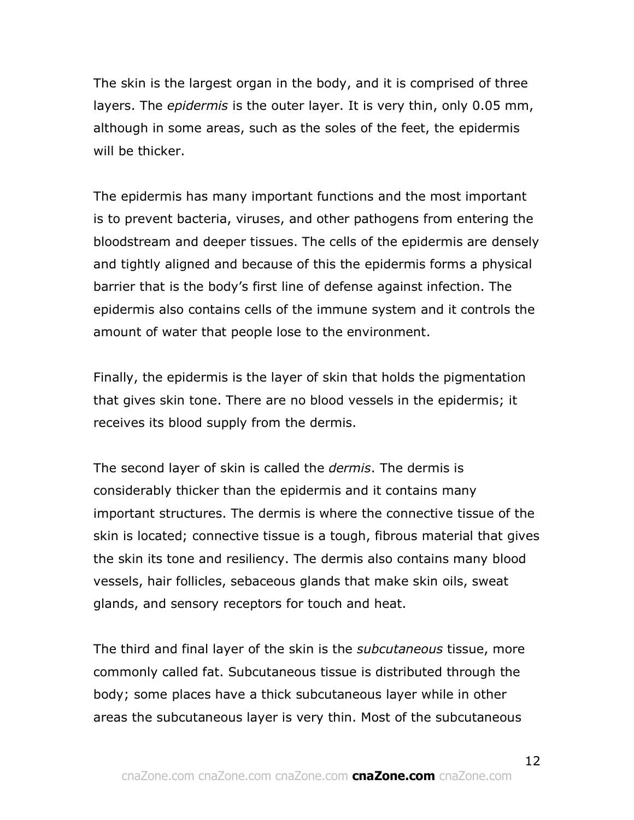The skin is the largest organ in the body, and it is comprised of three layers. The *epidermis* is the outer layer. It is very thin, only 0.05 mm, although in some areas, such as the soles of the feet, the epidermis will be thicker.

The epidermis has many important functions and the most important is to prevent bacteria, viruses, and other pathogens from entering the bloodstream and deeper tissues. The cells of the epidermis are densely and tightly aligned and because of this the epidermis forms a physical barrier that is the body's first line of defense against infection. The epidermis also contains cells of the immune system and it controls the amount of water that people lose to the environment.

Finally, the epidermis is the layer of skin that holds the pigmentation that gives skin tone. There are no blood vessels in the epidermis; it receives its blood supply from the dermis.

The second layer of skin is called the *dermis*. The dermis is considerably thicker than the epidermis and it contains many important structures. The dermis is where the connective tissue of the skin is located; connective tissue is a tough, fibrous material that gives the skin its tone and resiliency. The dermis also contains many blood vessels, hair follicles, sebaceous glands that make skin oils, sweat glands, and sensory receptors for touch and heat.

The third and final layer of the skin is the *subcutaneous* tissue, more commonly called fat. Subcutaneous tissue is distributed through the body; some places have a thick subcutaneous layer while in other areas the subcutaneous layer is very thin. Most of the subcutaneous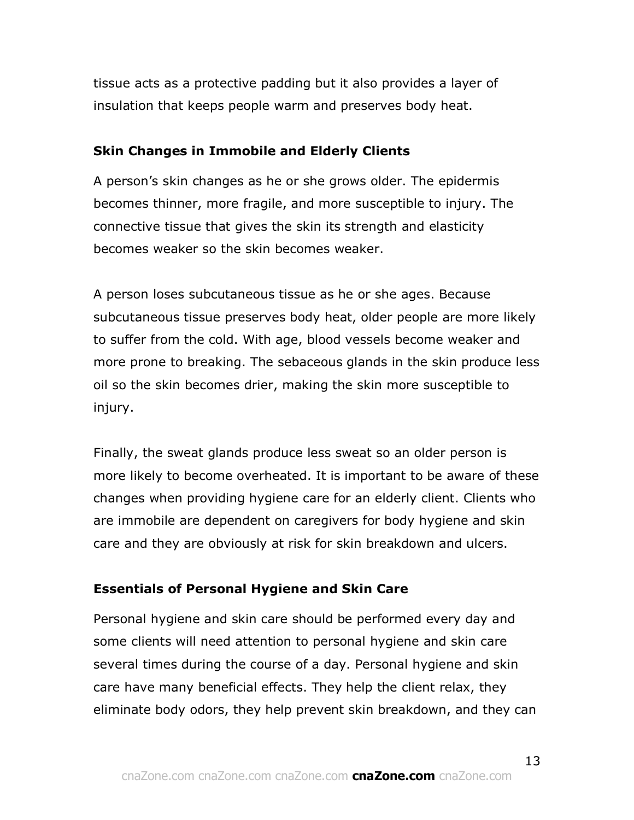tissue acts as a protective padding but it also provides a layer of insulation that keeps people warm and preserves body heat.

### **Skin Changes in Immobile and Elderly Clients**

A person's skin changes as he or she grows older. The epidermis becomes thinner, more fragile, and more susceptible to injury. The connective tissue that gives the skin its strength and elasticity becomes weaker so the skin becomes weaker.

A person loses subcutaneous tissue as he or she ages. Because subcutaneous tissue preserves body heat, older people are more likely to suffer from the cold. With age, blood vessels become weaker and more prone to breaking. The sebaceous glands in the skin produce less oil so the skin becomes drier, making the skin more susceptible to injury.

Finally, the sweat glands produce less sweat so an older person is more likely to become overheated. It is important to be aware of these changes when providing hygiene care for an elderly client. Clients who are immobile are dependent on caregivers for body hygiene and skin care and they are obviously at risk for skin breakdown and ulcers.

### **Essentials of Personal Hygiene and Skin Care**

Personal hygiene and skin care should be performed every day and some clients will need attention to personal hygiene and skin care several times during the course of a day. Personal hygiene and skin care have many beneficial effects. They help the client relax, they eliminate body odors, they help prevent skin breakdown, and they can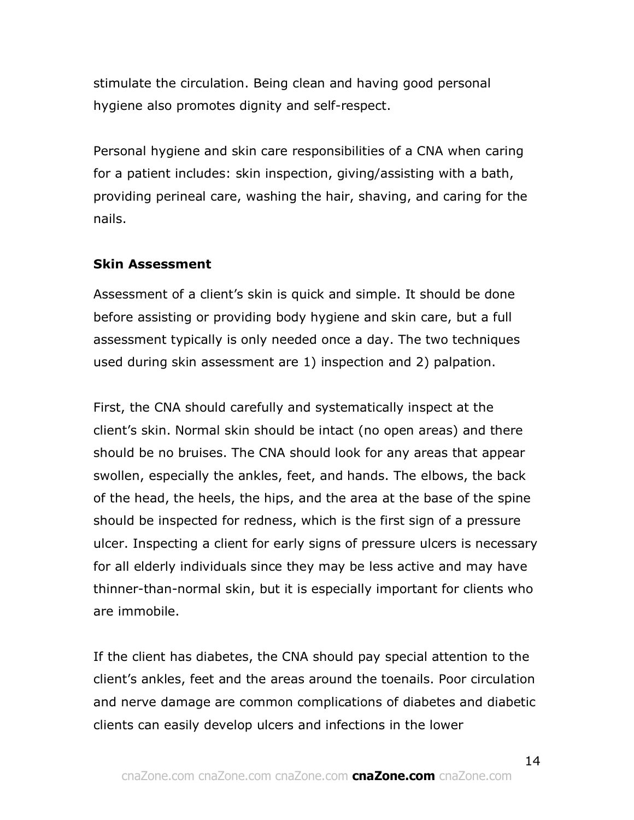stimulate the circulation. Being clean and having good personal hygiene also promotes dignity and self-respect.

Personal hygiene and skin care responsibilities of a CNA when caring for a patient includes: skin inspection, giving/assisting with a bath, providing perineal care, washing the hair, shaving, and caring for the nails.

### **Skin Assessment**

Assessment of a client's skin is quick and simple. It should be done before assisting or providing body hygiene and skin care, but a full assessment typically is only needed once a day. The two techniques used during skin assessment are 1) inspection and 2) palpation.

First, the CNA should carefully and systematically inspect at the client's skin. Normal skin should be intact (no open areas) and there should be no bruises. The CNA should look for any areas that appear swollen, especially the ankles, feet, and hands. The elbows, the back of the head, the heels, the hips, and the area at the base of the spine should be inspected for redness, which is the first sign of a pressure ulcer. Inspecting a client for early signs of pressure ulcers is necessary for all elderly individuals since they may be less active and may have thinner-than-normal skin, but it is especially important for clients who are immobile.

If the client has diabetes, the CNA should pay special attention to the client's ankles, feet and the areas around the toenails. Poor circulation and nerve damage are common complications of diabetes and diabetic clients can easily develop ulcers and infections in the lower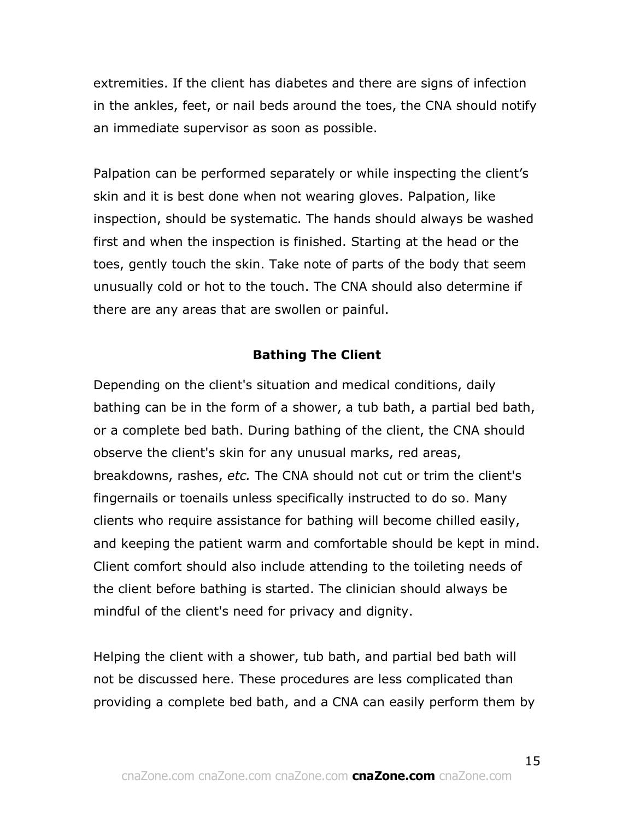extremities. If the client has diabetes and there are signs of infection in the ankles, feet, or nail beds around the toes, the CNA should notify an immediate supervisor as soon as possible.

Palpation can be performed separately or while inspecting the client's skin and it is best done when not wearing gloves. Palpation, like inspection, should be systematic. The hands should always be washed first and when the inspection is finished. Starting at the head or the toes, gently touch the skin. Take note of parts of the body that seem unusually cold or hot to the touch. The CNA should also determine if there are any areas that are swollen or painful.

### **Bathing The Client**

Depending on the client's situation and medical conditions, daily bathing can be in the form of a shower, a tub bath, a partial bed bath, or a complete bed bath. During bathing of the client, the CNA should observe the client's skin for any unusual marks, red areas, breakdowns, rashes, *etc.* The CNA should not cut or trim the client's fingernails or toenails unless specifically instructed to do so. Many clients who require assistance for bathing will become chilled easily, and keeping the patient warm and comfortable should be kept in mind. Client comfort should also include attending to the toileting needs of the client before bathing is started. The clinician should always be mindful of the client's need for privacy and dignity.

Helping the client with a shower, tub bath, and partial bed bath will not be discussed here. These procedures are less complicated than providing a complete bed bath, and a CNA can easily perform them by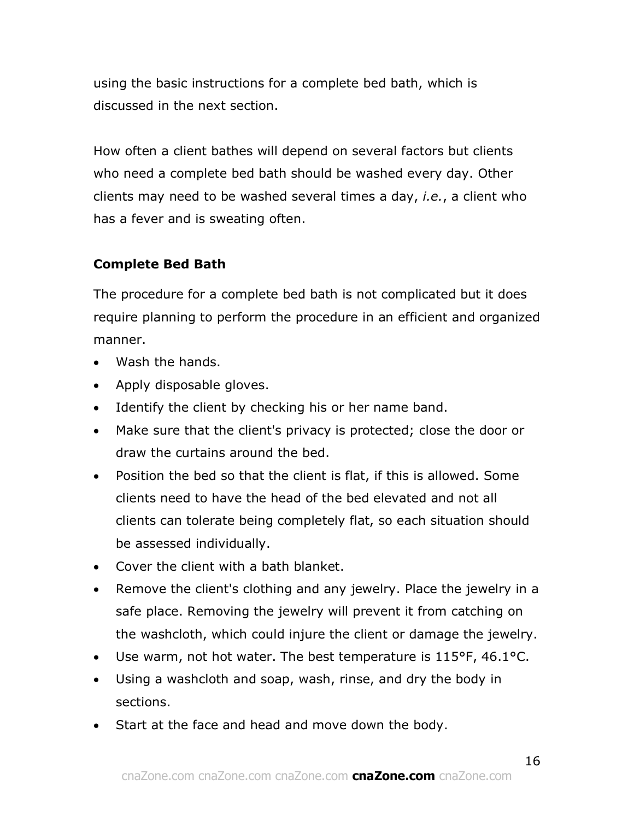using the basic instructions for a complete bed bath, which is discussed in the next section.

How often a client bathes will depend on several factors but clients who need a complete bed bath should be washed every day. Other clients may need to be washed several times a day, *i.e.*, a client who has a fever and is sweating often.

# **Complete Bed Bath**

The procedure for a complete bed bath is not complicated but it does require planning to perform the procedure in an efficient and organized manner.

- Wash the hands.
- Apply disposable gloves.
- Identify the client by checking his or her name band.
- Make sure that the client's privacy is protected; close the door or draw the curtains around the bed.
- Position the bed so that the client is flat, if this is allowed. Some clients need to have the head of the bed elevated and not all clients can tolerate being completely flat, so each situation should be assessed individually.
- Cover the client with a bath blanket.
- Remove the client's clothing and any jewelry. Place the jewelry in a safe place. Removing the jewelry will prevent it from catching on the washcloth, which could injure the client or damage the jewelry.
- Use warm, not hot water. The best temperature is 115°F, 46.1°C.
- Using a washcloth and soap, wash, rinse, and dry the body in sections.
- Start at the face and head and move down the body.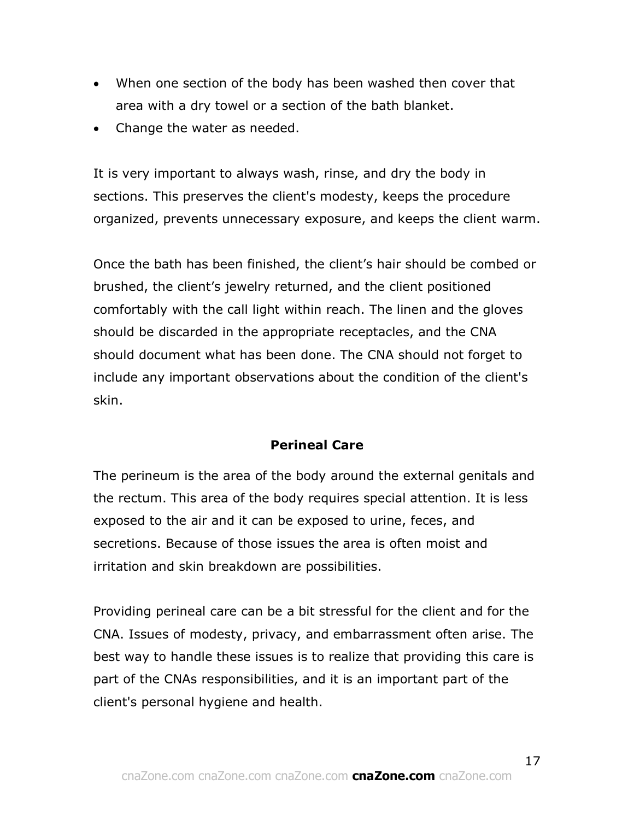- When one section of the body has been washed then cover that area with a dry towel or a section of the bath blanket.
- Change the water as needed.

It is very important to always wash, rinse, and dry the body in sections. This preserves the client's modesty, keeps the procedure organized, prevents unnecessary exposure, and keeps the client warm.

Once the bath has been finished, the client's hair should be combed or brushed, the client's jewelry returned, and the client positioned comfortably with the call light within reach. The linen and the gloves should be discarded in the appropriate receptacles, and the CNA should document what has been done. The CNA should not forget to include any important observations about the condition of the client's skin.

# **Perineal Care**

The perineum is the area of the body around the external genitals and the rectum. This area of the body requires special attention. It is less exposed to the air and it can be exposed to urine, feces, and secretions. Because of those issues the area is often moist and irritation and skin breakdown are possibilities.

Providing perineal care can be a bit stressful for the client and for the CNA. Issues of modesty, privacy, and embarrassment often arise. The best way to handle these issues is to realize that providing this care is part of the CNAs responsibilities, and it is an important part of the client's personal hygiene and health.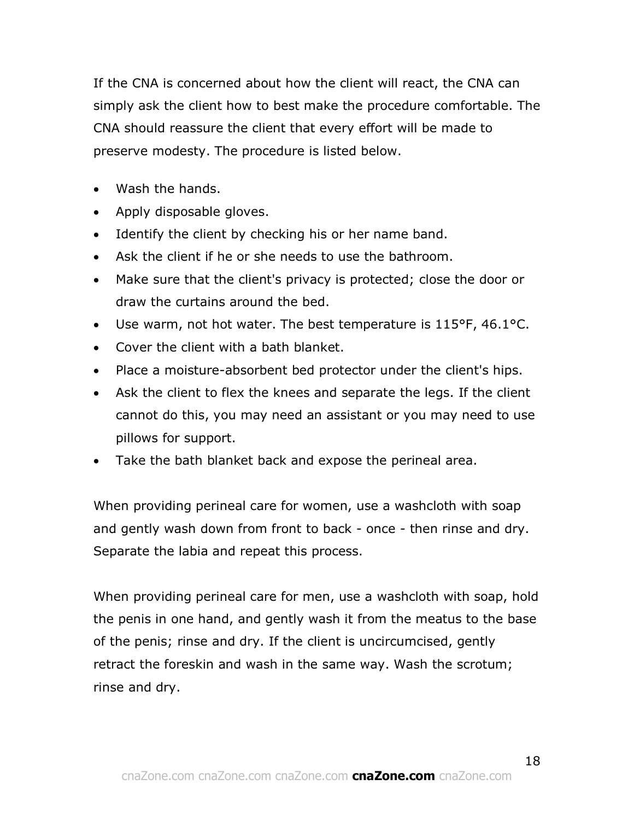If the CNA is concerned about how the client will react, the CNA can simply ask the client how to best make the procedure comfortable. The CNA should reassure the client that every effort will be made to preserve modesty. The procedure is listed below.

- Wash the hands.
- Apply disposable gloves.
- Identify the client by checking his or her name band.
- Ask the client if he or she needs to use the bathroom.
- Make sure that the client's privacy is protected; close the door or draw the curtains around the bed.
- Use warm, not hot water. The best temperature is 115°F, 46.1°C.
- Cover the client with a bath blanket.
- Place a moisture-absorbent bed protector under the client's hips.
- Ask the client to flex the knees and separate the legs. If the client cannot do this, you may need an assistant or you may need to use pillows for support.
- Take the bath blanket back and expose the perineal area.

When providing perineal care for women, use a washcloth with soap and gently wash down from front to back - once - then rinse and dry. Separate the labia and repeat this process.

When providing perineal care for men, use a washcloth with soap, hold the penis in one hand, and gently wash it from the meatus to the base of the penis; rinse and dry. If the client is uncircumcised, gently retract the foreskin and wash in the same way. Wash the scrotum; rinse and dry.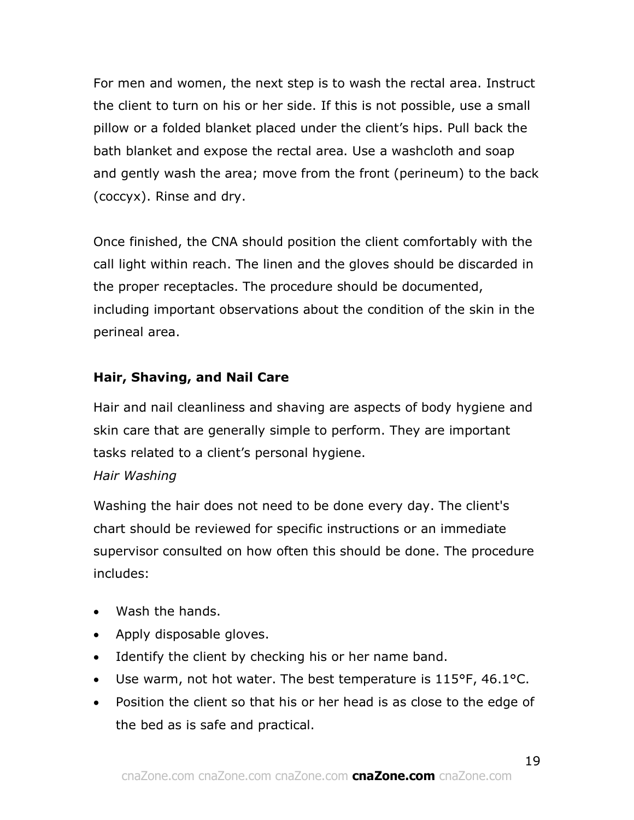For men and women, the next step is to wash the rectal area. Instruct the client to turn on his or her side. If this is not possible, use a small pillow or a folded blanket placed under the client's hips. Pull back the bath blanket and expose the rectal area. Use a washcloth and soap and gently wash the area; move from the front (perineum) to the back (coccyx). Rinse and dry.

Once finished, the CNA should position the client comfortably with the call light within reach. The linen and the gloves should be discarded in the proper receptacles. The procedure should be documented, including important observations about the condition of the skin in the perineal area.

# **Hair, Shaving, and Nail Care**

Hair and nail cleanliness and shaving are aspects of body hygiene and skin care that are generally simple to perform. They are important tasks related to a client's personal hygiene.

# *Hair Washing*

Washing the hair does not need to be done every day. The client's chart should be reviewed for specific instructions or an immediate supervisor consulted on how often this should be done. The procedure includes:

- Wash the hands.
- Apply disposable gloves.
- Identify the client by checking his or her name band.
- Use warm, not hot water. The best temperature is 115°F, 46.1°C.
- Position the client so that his or her head is as close to the edge of the bed as is safe and practical.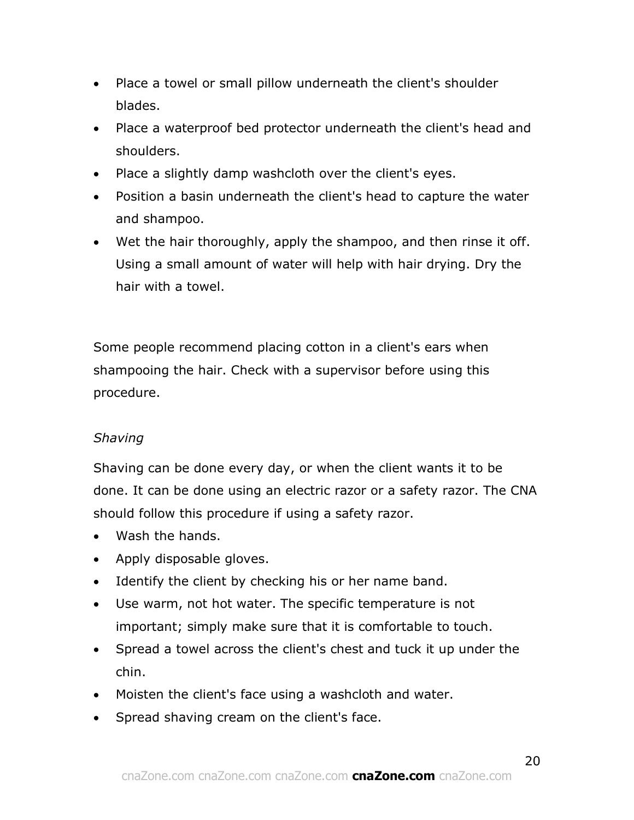- Place a towel or small pillow underneath the client's shoulder blades.
- Place a waterproof bed protector underneath the client's head and shoulders.
- Place a slightly damp washcloth over the client's eyes.
- Position a basin underneath the client's head to capture the water and shampoo.
- Wet the hair thoroughly, apply the shampoo, and then rinse it off. Using a small amount of water will help with hair drying. Dry the hair with a towel.

Some people recommend placing cotton in a client's ears when shampooing the hair. Check with a supervisor before using this procedure.

# *Shaving*

Shaving can be done every day, or when the client wants it to be done. It can be done using an electric razor or a safety razor. The CNA should follow this procedure if using a safety razor.

- Wash the hands.
- Apply disposable gloves.
- Identify the client by checking his or her name band.
- Use warm, not hot water. The specific temperature is not important; simply make sure that it is comfortable to touch.
- Spread a towel across the client's chest and tuck it up under the chin.
- Moisten the client's face using a washcloth and water.
- Spread shaving cream on the client's face.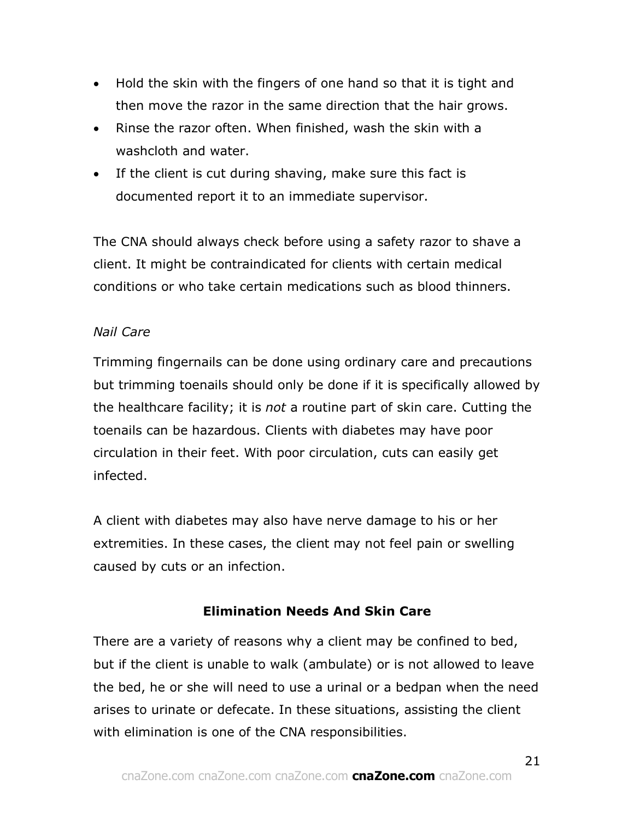- Hold the skin with the fingers of one hand so that it is tight and then move the razor in the same direction that the hair grows.
- Rinse the razor often. When finished, wash the skin with a washcloth and water.
- If the client is cut during shaving, make sure this fact is documented report it to an immediate supervisor.

The CNA should always check before using a safety razor to shave a client. It might be contraindicated for clients with certain medical conditions or who take certain medications such as blood thinners.

# *Nail Care*

Trimming fingernails can be done using ordinary care and precautions but trimming toenails should only be done if it is specifically allowed by the healthcare facility; it is *not* a routine part of skin care. Cutting the toenails can be hazardous. Clients with diabetes may have poor circulation in their feet. With poor circulation, cuts can easily get infected.

A client with diabetes may also have nerve damage to his or her extremities. In these cases, the client may not feel pain or swelling caused by cuts or an infection.

# **Elimination Needs And Skin Care**

There are a variety of reasons why a client may be confined to bed, but if the client is unable to walk (ambulate) or is not allowed to leave the bed, he or she will need to use a urinal or a bedpan when the need arises to urinate or defecate. In these situations, assisting the client with elimination is one of the CNA responsibilities.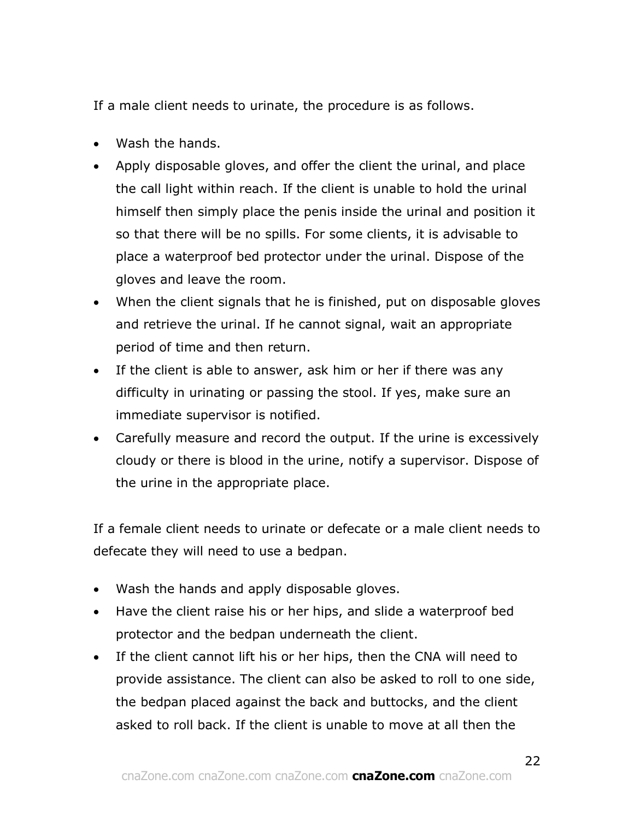If a male client needs to urinate, the procedure is as follows.

- Wash the hands.
- Apply disposable gloves, and offer the client the urinal, and place the call light within reach. If the client is unable to hold the urinal himself then simply place the penis inside the urinal and position it so that there will be no spills. For some clients, it is advisable to place a waterproof bed protector under the urinal. Dispose of the gloves and leave the room.
- When the client signals that he is finished, put on disposable gloves and retrieve the urinal. If he cannot signal, wait an appropriate period of time and then return.
- If the client is able to answer, ask him or her if there was any difficulty in urinating or passing the stool. If yes, make sure an immediate supervisor is notified.
- Carefully measure and record the output. If the urine is excessively cloudy or there is blood in the urine, notify a supervisor. Dispose of the urine in the appropriate place.

If a female client needs to urinate or defecate or a male client needs to defecate they will need to use a bedpan.

- Wash the hands and apply disposable gloves.
- Have the client raise his or her hips, and slide a waterproof bed protector and the bedpan underneath the client.
- If the client cannot lift his or her hips, then the CNA will need to provide assistance. The client can also be asked to roll to one side, the bedpan placed against the back and buttocks, and the client asked to roll back. If the client is unable to move at all then the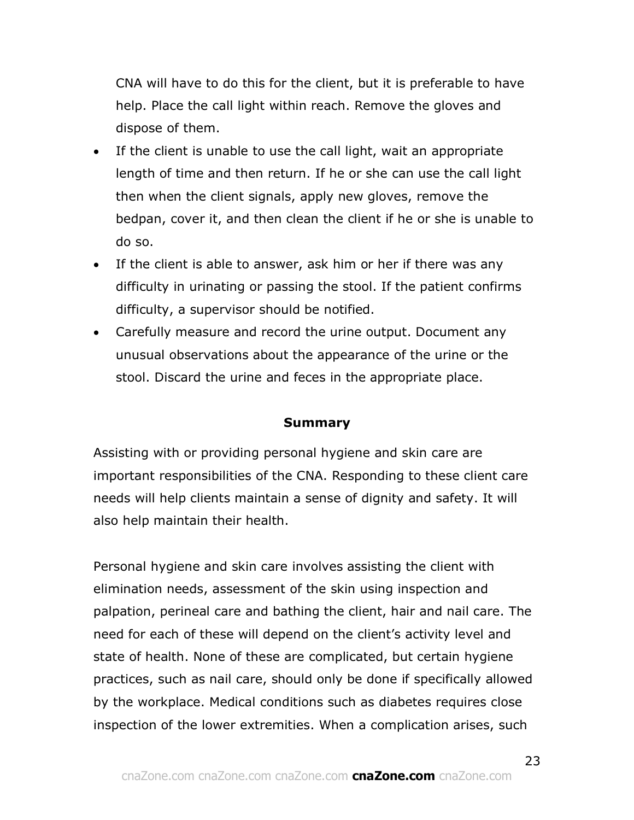CNA will have to do this for the client, but it is preferable to have help. Place the call light within reach. Remove the gloves and dispose of them.

- If the client is unable to use the call light, wait an appropriate length of time and then return. If he or she can use the call light then when the client signals, apply new gloves, remove the bedpan, cover it, and then clean the client if he or she is unable to do so.
- If the client is able to answer, ask him or her if there was any difficulty in urinating or passing the stool. If the patient confirms difficulty, a supervisor should be notified.
- Carefully measure and record the urine output. Document any unusual observations about the appearance of the urine or the stool. Discard the urine and feces in the appropriate place.

### **Summary**

Assisting with or providing personal hygiene and skin care are important responsibilities of the CNA. Responding to these client care needs will help clients maintain a sense of dignity and safety. It will also help maintain their health.

Personal hygiene and skin care involves assisting the client with elimination needs, assessment of the skin using inspection and palpation, perineal care and bathing the client, hair and nail care. The need for each of these will depend on the client's activity level and state of health. None of these are complicated, but certain hygiene practices, such as nail care, should only be done if specifically allowed by the workplace. Medical conditions such as diabetes requires close inspection of the lower extremities. When a complication arises, such